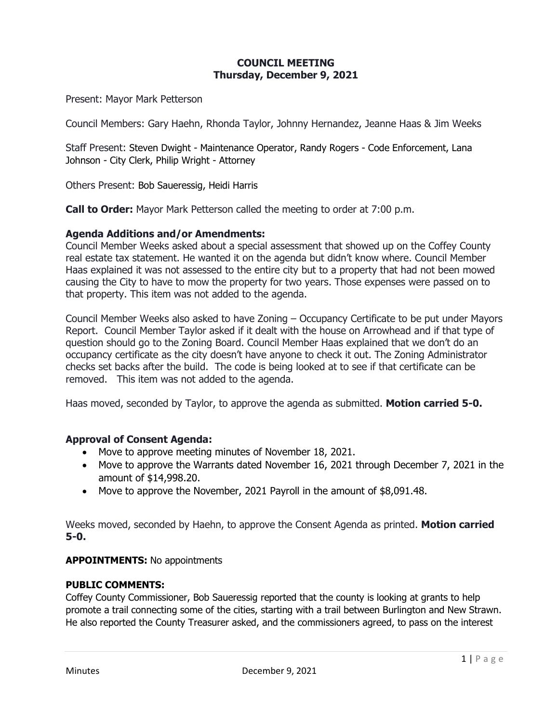# **COUNCIL MEETING Thursday, December 9, 2021**

Present: Mayor Mark Petterson

Council Members: Gary Haehn, Rhonda Taylor, Johnny Hernandez, Jeanne Haas & Jim Weeks

Staff Present: Steven Dwight - Maintenance Operator, Randy Rogers - Code Enforcement, Lana Johnson - City Clerk, Philip Wright - Attorney

Others Present: Bob Saueressig, Heidi Harris

**Call to Order:** Mayor Mark Petterson called the meeting to order at 7:00 p.m.

### **Agenda Additions and/or Amendments:**

Council Member Weeks asked about a special assessment that showed up on the Coffey County real estate tax statement. He wanted it on the agenda but didn't know where. Council Member Haas explained it was not assessed to the entire city but to a property that had not been mowed causing the City to have to mow the property for two years. Those expenses were passed on to that property. This item was not added to the agenda.

Council Member Weeks also asked to have Zoning – Occupancy Certificate to be put under Mayors Report. Council Member Taylor asked if it dealt with the house on Arrowhead and if that type of question should go to the Zoning Board. Council Member Haas explained that we don't do an occupancy certificate as the city doesn't have anyone to check it out. The Zoning Administrator checks set backs after the build. The code is being looked at to see if that certificate can be removed. This item was not added to the agenda.

Haas moved, seconded by Taylor, to approve the agenda as submitted. **Motion carried 5-0.**

# **Approval of Consent Agenda:**

- Move to approve meeting minutes of November 18, 2021.
- Move to approve the Warrants dated November 16, 2021 through December 7, 2021 in the amount of \$14,998.20.
- Move to approve the November, 2021 Payroll in the amount of \$8,091.48.

Weeks moved, seconded by Haehn, to approve the Consent Agenda as printed. **Motion carried 5-0.**

#### **APPOINTMENTS:** No appointments

#### **PUBLIC COMMENTS:**

Coffey County Commissioner, Bob Saueressig reported that the county is looking at grants to help promote a trail connecting some of the cities, starting with a trail between Burlington and New Strawn. He also reported the County Treasurer asked, and the commissioners agreed, to pass on the interest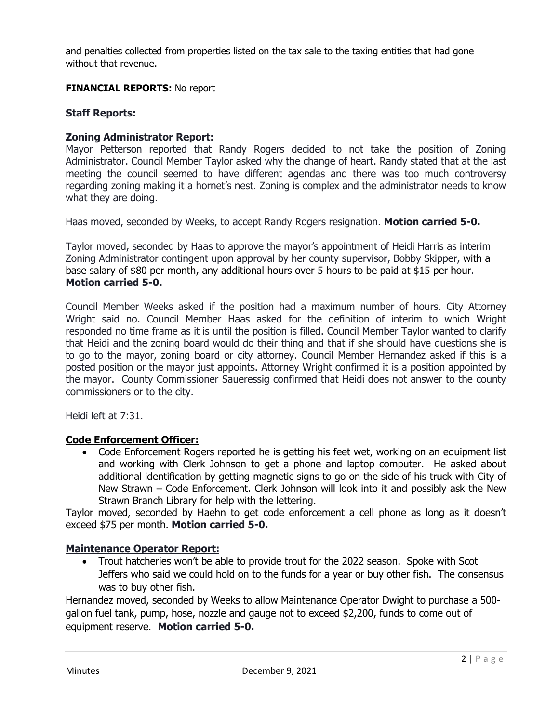and penalties collected from properties listed on the tax sale to the taxing entities that had gone without that revenue.

#### **FINANCIAL REPORTS:** No report

#### **Staff Reports:**

### **Zoning Administrator Report:**

Mayor Petterson reported that Randy Rogers decided to not take the position of Zoning Administrator. Council Member Taylor asked why the change of heart. Randy stated that at the last meeting the council seemed to have different agendas and there was too much controversy regarding zoning making it a hornet's nest. Zoning is complex and the administrator needs to know what they are doing.

Haas moved, seconded by Weeks, to accept Randy Rogers resignation. **Motion carried 5-0.**

Taylor moved, seconded by Haas to approve the mayor's appointment of Heidi Harris as interim Zoning Administrator contingent upon approval by her county supervisor, Bobby Skipper, with a base salary of \$80 per month, any additional hours over 5 hours to be paid at \$15 per hour. **Motion carried 5-0.**

Council Member Weeks asked if the position had a maximum number of hours. City Attorney Wright said no. Council Member Haas asked for the definition of interim to which Wright responded no time frame as it is until the position is filled. Council Member Taylor wanted to clarify that Heidi and the zoning board would do their thing and that if she should have questions she is to go to the mayor, zoning board or city attorney. Council Member Hernandez asked if this is a posted position or the mayor just appoints. Attorney Wright confirmed it is a position appointed by the mayor. County Commissioner Saueressig confirmed that Heidi does not answer to the county commissioners or to the city.

Heidi left at 7:31.

#### **Code Enforcement Officer:**

• Code Enforcement Rogers reported he is getting his feet wet, working on an equipment list and working with Clerk Johnson to get a phone and laptop computer. He asked about additional identification by getting magnetic signs to go on the side of his truck with City of New Strawn – Code Enforcement. Clerk Johnson will look into it and possibly ask the New Strawn Branch Library for help with the lettering.

Taylor moved, seconded by Haehn to get code enforcement a cell phone as long as it doesn't exceed \$75 per month. **Motion carried 5-0.**

#### **Maintenance Operator Report:**

• Trout hatcheries won't be able to provide trout for the 2022 season. Spoke with Scot Jeffers who said we could hold on to the funds for a year or buy other fish. The consensus was to buy other fish.

Hernandez moved, seconded by Weeks to allow Maintenance Operator Dwight to purchase a 500 gallon fuel tank, pump, hose, nozzle and gauge not to exceed \$2,200, funds to come out of equipment reserve. **Motion carried 5-0.**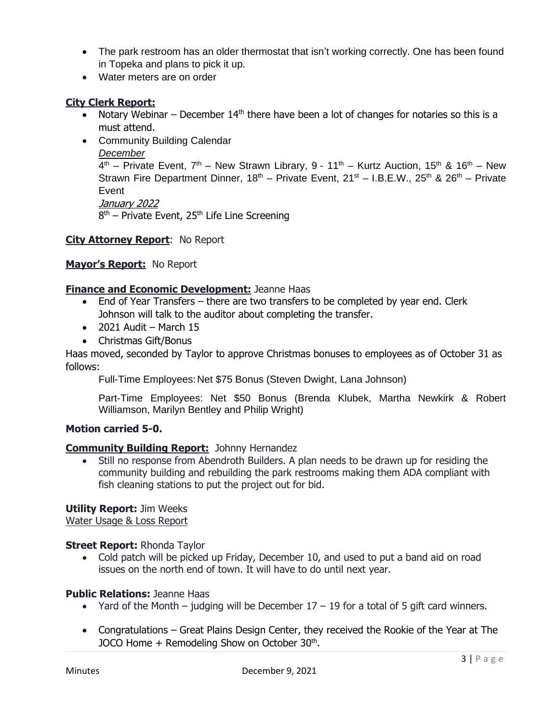- The park restroom has an older thermostat that isn't working correctly. One has been found in Topeka and plans to pick it up.
- Water meters are on order

# **City Clerk Report:**

- Notary Webinar December  $14<sup>th</sup>$  there have been a lot of changes for notaries so this is a must attend.
- Community Building Calendar

## *December*

 $4<sup>th</sup>$  – Private Event, 7<sup>th</sup> – New Strawn Library, 9 - 11<sup>th</sup> – Kurtz Auction, 15<sup>th</sup> & 16<sup>th</sup> – New Strawn Fire Department Dinner,  $18^{th}$  – Private Event,  $21^{st}$  – I.B.E.W.,  $25^{th}$  &  $26^{th}$  – Private Event January 2022

8<sup>th</sup> – Private Event, 25<sup>th</sup> Life Line Screening

# **City Attorney Report**: No Report

# **Mayor's Report:** No Report

# **Finance and Economic Development:** Jeanne Haas

- End of Year Transfers there are two transfers to be completed by year end. Clerk Johnson will talk to the auditor about completing the transfer.
- $\bullet$  2021 Audit March 15
- Christmas Gift/Bonus

Haas moved, seconded by Taylor to approve Christmas bonuses to employees as of October 31 as follows:

Full-Time Employees: Net \$75 Bonus (Steven Dwight, Lana Johnson)

Part-Time Employees: Net \$50 Bonus (Brenda Klubek, Martha Newkirk & Robert Williamson, Marilyn Bentley and Philip Wright)

# **Motion carried 5-0.**

# **Community Building Report:** Johnny Hernandez

• Still no response from Abendroth Builders. A plan needs to be drawn up for residing the community building and rebuilding the park restrooms making them ADA compliant with fish cleaning stations to put the project out for bid.

# **Utility Report:** Jim Weeks

Water Usage & Loss Report

# **Street Report:** Rhonda Taylor

• Cold patch will be picked up Friday, December 10, and used to put a band aid on road issues on the north end of town. It will have to do until next year.

# **Public Relations:** Jeanne Haas

- Yard of the Month judging will be December  $17 19$  for a total of 5 gift card winners.
- Congratulations Great Plains Design Center, they received the Rookie of the Year at The JOCO Home + Remodeling Show on October 30<sup>th</sup>.